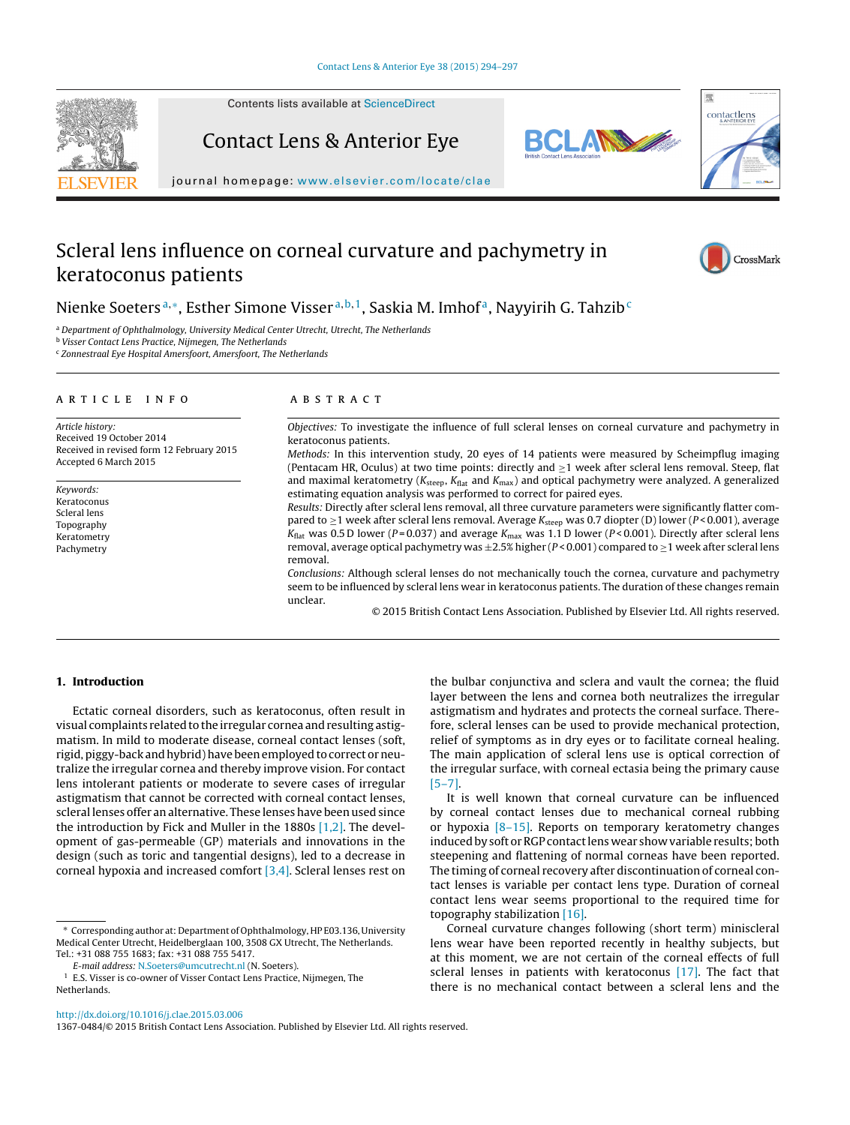

Contents lists available at [ScienceDirect](http://www.sciencedirect.com/science/journal/13670484)

Contact Lens & Anterior Eye





journal homepage: [www.elsevier.com/locate/clae](http://www.elsevier.com/locate/clae)

# Scleral lens influence on corneal curvature and pachymetry in keratoconus patients



## Nienke Soeters<sup>a,∗</sup>, Esther Simone Visser<sup>a,b,1</sup>, Saskia M. Imhof<sup>a</sup>, Nayyirih G. Tahzib<sup>c</sup>

a Department of Ophthalmology, University Medical Center Utrecht, Utrecht, The Netherlands

**b Visser Contact Lens Practice, Nijmegen, The Netherlands** 

 $c$  Zonnestraal Eye Hospital Amersfoort, Amersfoort, The Netherlands

#### article info

Article history: Received 19 October 2014 Received in revised form 12 February 2015 Accepted 6 March 2015

Keywords: Keratoconus Scleral lens Topography Keratometry Pachymetry

#### ABSTRACT

Objectives: To investigate the influence of full scleral lenses on corneal curvature and pachymetry in keratoconus patients.

Methods: In this intervention study, 20 eyes of 14 patients were measured by Scheimpflug imaging (Pentacam HR, Oculus) at two time points: directly and  $\geq 1$  week after scleral lens removal. Steep, flat and maximal keratometry ( $K_{\text{steep}}$ ,  $K_{\text{flat}}$  and  $K_{\text{max}}$ ) and optical pachymetry were analyzed. A generalized estimating equation analysis was performed to correct for paired eyes.

Results: Directly after scleral lens removal, all three curvature parameters were significantly flatter compared to  $\geq$ 1 week after scleral lens removal. Average  $K_{\text{steep}}$  was 0.7 diopter (D) lower (P<0.001), average  $K_{\text{flat}}$  was 0.5 D lower (P=0.037) and average  $K_{\text{max}}$  was 1.1 D lower (P<0.001). Directly after scleral lens removal, average optical pachymetry was  $\pm 2.5\%$  higher (P < 0.001) compared to  $\geq 1$  week after scleral lens removal.

Conclusions: Although scleral lenses do not mechanically touch the cornea, curvature and pachymetry seem to be influenced by scleral lens wear in keratoconus patients. The duration of these changes remain unclear.

© 2015 British Contact Lens Association. Published by Elsevier Ltd. All rights reserved.

### **1. Introduction**

Ectatic corneal disorders, such as keratoconus, often result in visual complaints related to the irregular cornea and resulting astigmatism. In mild to moderate disease, corneal contact lenses (soft, rigid, piggy-back and hybrid) have been employed to correct or neutralize the irregular cornea and thereby improve vision. For contact lens intolerant patients or moderate to severe cases of irregular astigmatism that cannot be corrected with corneal contact lenses, scleral lenses offer an alternative. These lenses have been used since the introduction by Fick and Muller in the 1880s [\[1,2\]. T](#page-3-0)he development of gas-permeable (GP) materials and innovations in the design (such as toric and tangential designs), led to a decrease in corneal hypoxia and increased comfort [\[3,4\]. S](#page-3-0)cleral lenses rest on

E-mail address: [N.Soeters@umcutrecht.nl](mailto:N.Soeters@umcutrecht.nl) (N. Soeters).

the bulbar conjunctiva and sclera and vault the cornea; the fluid layer between the lens and cornea both neutralizes the irregular astigmatism and hydrates and protects the corneal surface. Therefore, scleral lenses can be used to provide mechanical protection, relief of symptoms as in dry eyes or to facilitate corneal healing. The main application of scleral lens use is optical correction of the irregular surface, with corneal ectasia being the primary cause [\[5–7\].](#page-3-0)

It is well known that corneal curvature can be influenced by corneal contact lenses due to mechanical corneal rubbing or hypoxia [\[8–15\].](#page-3-0) Reports on temporary keratometry changes induced by soft or RGP contact lens wear show variable results; both steepening and flattening of normal corneas have been reported. The timing of corneal recovery after discontinuation of corneal contact lenses is variable per contact lens type. Duration of corneal contact lens wear seems proportional to the required time for topography stabilization [\[16\].](#page-3-0)

Corneal curvature changes following (short term) miniscleral lens wear have been reported recently in healthy subjects, but at this moment, we are not certain of the corneal effects of full scleral lenses in patients with keratoconus  $[17]$ . The fact that there is no mechanical contact between a scleral lens and the

1367-0484/© 2015 British Contact Lens Association. Published by Elsevier Ltd. All rights reserved.

<sup>∗</sup> Corresponding author at: Department of Ophthalmology, HP E03.136, University Medical Center Utrecht, Heidelberglaan 100, 3508 GX Utrecht, The Netherlands. Tel.: +31 088 755 1683; fax: +31 088 755 5417.

<sup>1</sup> E.S. Visser is co-owner of Visser Contact Lens Practice, Nijmegen, The Netherlands.

[http://dx.doi.org/10.1016/j.clae.2015.03.006](dx.doi.org/10.1016/j.clae.2015.03.006)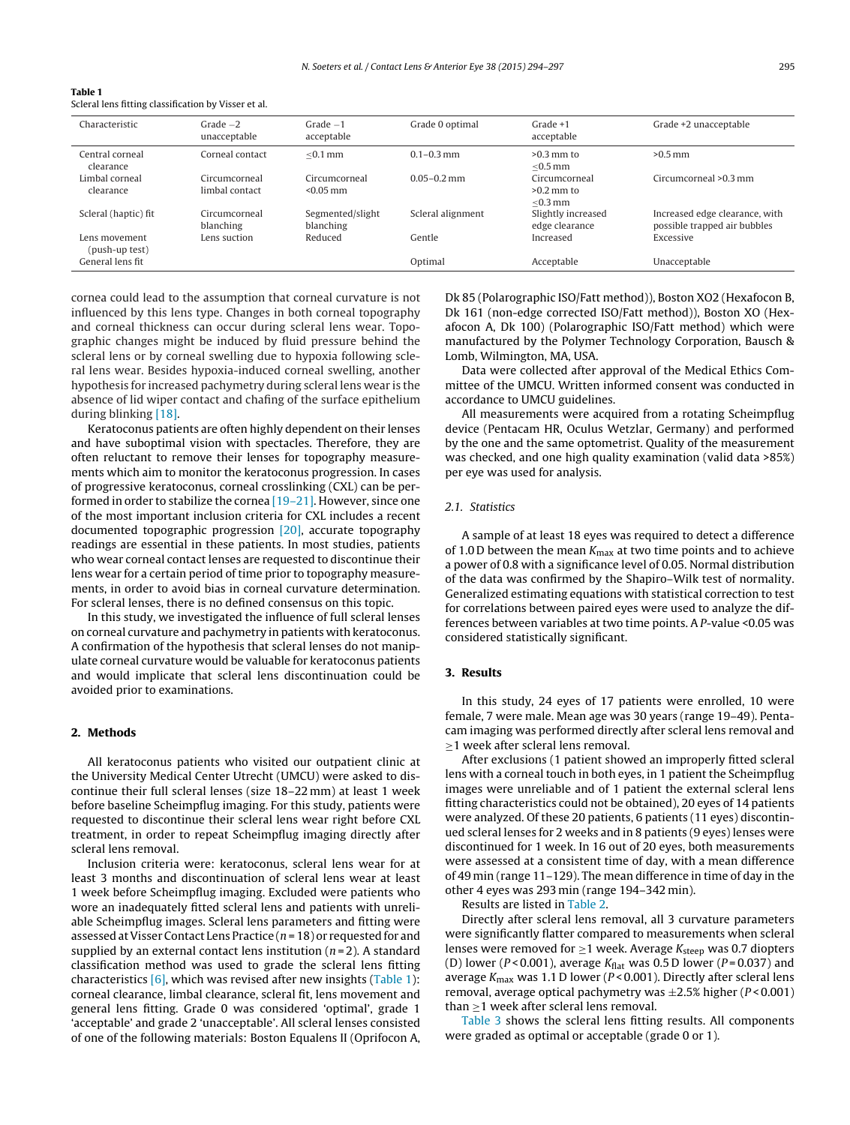| Table 1                                              |  |
|------------------------------------------------------|--|
| Scleral lens fitting classification by Visser et al. |  |

| Characteristic                  | $Grade -2$<br>unacceptable      | $Grade -1$<br>acceptable      | Grade 0 optimal   | $Grade +1$<br>acceptable                    | Grade +2 unacceptable                                          |
|---------------------------------|---------------------------------|-------------------------------|-------------------|---------------------------------------------|----------------------------------------------------------------|
| Central corneal<br>clearance    | Corneal contact                 | $< 0.1$ mm                    | $0.1 - 0.3$ mm    | $>0.3$ mm to<br>$<$ 0.5 mm                  | $>0.5$ mm                                                      |
| Limbal corneal<br>clearance     | Circumcorneal<br>limbal contact | Circumcorneal<br>$< 0.05$ mm  | $0.05 - 0.2$ mm   | Circumcorneal<br>$>0.2$ mm to<br>$<$ 0.3 mm | Circumcorneal >0.3 mm                                          |
| Scleral (haptic) fit            | Circumcorneal<br>blanching      | Segmented/slight<br>blanching | Scleral alignment | Slightly increased<br>edge clearance        | Increased edge clearance, with<br>possible trapped air bubbles |
| Lens movement<br>(push-up test) | Lens suction                    | Reduced                       | Gentle            | Increased                                   | Excessive                                                      |
| General lens fit                |                                 |                               | Optimal           | Acceptable                                  | Unacceptable                                                   |

cornea could lead to the assumption that corneal curvature is not influenced by this lens type. Changes in both corneal topography and corneal thickness can occur during scleral lens wear. Topographic changes might be induced by fluid pressure behind the scleral lens or by corneal swelling due to hypoxia following scleral lens wear. Besides hypoxia-induced corneal swelling, another hypothesis for increased pachymetry during scleral lens wear is the absence of lid wiper contact and chafing of the surface epithelium during blinking [\[18\].](#page-3-0)

Keratoconus patients are often highly dependent on their lenses and have suboptimal vision with spectacles. Therefore, they are often reluctant to remove their lenses for topography measurements which aim to monitor the keratoconus progression. In cases of progressive keratoconus, corneal crosslinking (CXL) can be performed in order to stabilize the cornea [\[19–21\]. H](#page-3-0)owever, since one of the most important inclusion criteria for CXL includes a recent documented topographic progression [\[20\],](#page-3-0) accurate topography readings are essential in these patients. In most studies, patients who wear corneal contact lenses are requested to discontinue their lens wear for a certain period of time prior to topography measurements, in order to avoid bias in corneal curvature determination. For scleral lenses, there is no defined consensus on this topic.

In this study, we investigated the influence of full scleral lenses on corneal curvature and pachymetry in patients with keratoconus. A confirmation of the hypothesis that scleral lenses do not manipulate corneal curvature would be valuable for keratoconus patients and would implicate that scleral lens discontinuation could be avoided prior to examinations.

#### **2. Methods**

All keratoconus patients who visited our outpatient clinic at the University Medical Center Utrecht (UMCU) were asked to discontinue their full scleral lenses (size 18–22 mm) at least 1 week before baseline Scheimpflug imaging. For this study, patients were requested to discontinue their scleral lens wear right before CXL treatment, in order to repeat Scheimpflug imaging directly after scleral lens removal.

Inclusion criteria were: keratoconus, scleral lens wear for at least 3 months and discontinuation of scleral lens wear at least 1 week before Scheimpflug imaging. Excluded were patients who wore an inadequately fitted scleral lens and patients with unreliable Scheimpflug images. Scleral lens parameters and fitting were assessed at Visser Contact Lens Practice ( $n = 18$ ) or requested for and supplied by an external contact lens institution  $(n=2)$ . A standard classification method was used to grade the scleral lens fitting characteristics  $[6]$ , which was revised after new insights (Table 1): corneal clearance, limbal clearance, scleral fit, lens movement and general lens fitting. Grade 0 was considered 'optimal', grade 1 'acceptable' and grade 2 'unacceptable'. All scleral lenses consisted of one of the following materials: Boston Equalens II (Oprifocon A, Dk 85 (Polarographic ISO/Fatt method)), Boston XO2 (Hexafocon B, Dk 161 (non-edge corrected ISO/Fatt method)), Boston XO (Hexafocon A, Dk 100) (Polarographic ISO/Fatt method) which were manufactured by the Polymer Technology Corporation, Bausch & Lomb, Wilmington, MA, USA.

Data were collected after approval of the Medical Ethics Committee of the UMCU. Written informed consent was conducted in accordance to UMCU guidelines.

All measurements were acquired from a rotating Scheimpflug device (Pentacam HR, Oculus Wetzlar, Germany) and performed by the one and the same optometrist. Quality of the measurement was checked, and one high quality examination (valid data >85%) per eye was used for analysis.

#### 2.1. Statistics

A sample of at least 18 eyes was required to detect a difference of 1.0 D between the mean  $K_{\text{max}}$  at two time points and to achieve a power of 0.8 with a significance level of 0.05. Normal distribution of the data was confirmed by the Shapiro–Wilk test of normality. Generalized estimating equations with statistical correction to test for correlations between paired eyes were used to analyze the differences between variables at two time points. A P-value <0.05 was considered statistically significant.

#### **3. Results**

In this study, 24 eyes of 17 patients were enrolled, 10 were female, 7 were male. Mean age was 30 years (range 19–49). Pentacam imaging was performed directly after scleral lens removal and ≥1 week after scleral lens removal.

After exclusions (1 patient showed an improperly fitted scleral lens with a corneal touch in both eyes, in 1 patient the Scheimpflug images were unreliable and of 1 patient the external scleral lens fitting characteristics could not be obtained), 20 eyes of 14 patients were analyzed. Of these 20 patients, 6 patients (11 eyes) discontinued scleral lenses for 2 weeks and in 8 patients (9 eyes) lenses were discontinued for 1 week. In 16 out of 20 eyes, both measurements were assessed at a consistent time of day, with a mean difference of 49 min (range 11–129). The mean difference in time of day in the other 4 eyes was 293 min (range 194–342 min).

Results are listed in [Table 2.](#page-2-0)

Directly after scleral lens removal, all 3 curvature parameters were significantly flatter compared to measurements when scleral lenses were removed for  $\geq$ 1 week. Average  $K_{\text{steep}}$  was 0.7 diopters (D) lower ( $P < 0.001$ ), average  $K_{\text{flat}}$  was 0.5 D lower ( $P = 0.037$ ) and average  $K_{\text{max}}$  was 1.1 D lower (P < 0.001). Directly after scleral lens removal, average optical pachymetry was  $\pm 2.5\%$  higher ( $P < 0.001$ ) than  $\geq$ 1 week after scleral lens removal.

[Table 3](#page-2-0) shows the scleral lens fitting results. All components were graded as optimal or acceptable (grade 0 or 1).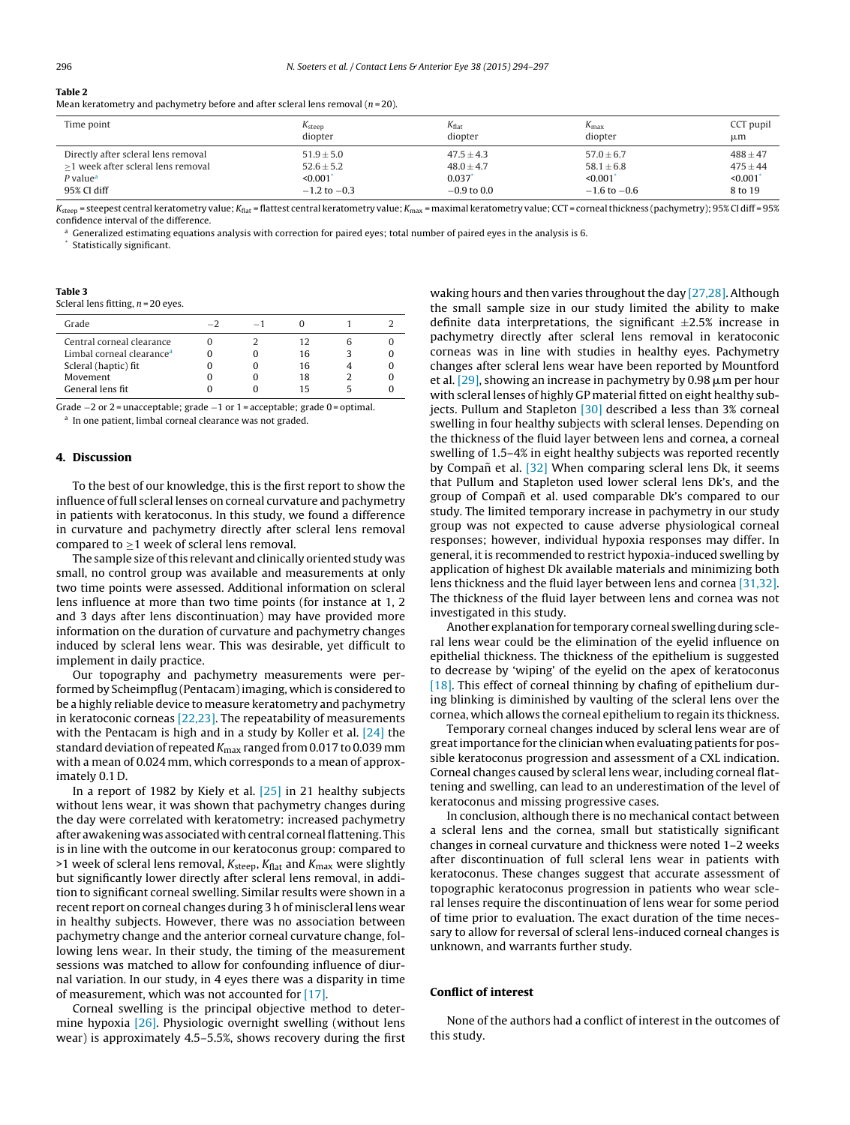### <span id="page-2-0"></span>**Table 2**

Mean keratometry and pachymetry before and after scleral lens removal  $(n=20)$ .

| Time point                          | $K_{\text{steep}}$ | $K_{\text{flat}}$ | $K_{\text{max}}$ | CCT pupil    |
|-------------------------------------|--------------------|-------------------|------------------|--------------|
|                                     | diopter            | diopter           | diopter          | μm           |
| Directly after scleral lens removal | $51.9 \pm 5.0$     | $47.5 \pm 4.3$    | $57.0 \pm 6.7$   | $488 \pm 47$ |
| >1 week after scleral lens removal  | $52.6 \pm 5.2$     | $48.0 \pm 4.7$    | $58.1 \pm 6.8$   | $475 + 44$   |
| $P$ value <sup><math>a</math></sup> | $\leq 0.001$       | 0.037             | $\leq 0.001$     | < 0.001      |
| 95% CI diff                         | $-1.2$ to $-0.3$   | $-0.9$ to 0.0     | $-1.6$ to $-0.6$ | 8 to 19      |

 $K_{\text{steep}}$  = steepest central keratometry value;  $K_{\text{flat}}$  = flattest central keratometry value;  $K_{\text{max}}$  = maximal keratometry value; CCT = corneal thickness (pachymetry); 95% Cl diff = 95% confidence interval of the difference.

<sup>a</sup> Generalized estimating equations analysis with correction for paired eyes; total number of paired eyes in the analysis is 6.

Statistically significant.

| тартс э |                                      |
|---------|--------------------------------------|
|         | Scleral lens fitting, $n = 20$ eyes. |

**Table 3**

| Grade                                 |  |    |  |
|---------------------------------------|--|----|--|
| Central corneal clearance             |  | 12 |  |
| Limbal corneal clearance <sup>a</sup> |  | 16 |  |
| Scleral (haptic) fit                  |  | 16 |  |
| Movement                              |  | 18 |  |
| General lens fit                      |  | 15 |  |

Grade −2 or 2 = unacceptable; grade −1 or 1 = acceptable; grade 0 = optimal. <sup>a</sup> In one patient, limbal corneal clearance was not graded.

#### **4. Discussion**

To the best of our knowledge, this is the first report to show the influence of full scleral lenses on corneal curvature and pachymetry in patients with keratoconus. In this study, we found a difference in curvature and pachymetry directly after scleral lens removal compared to  $\geq$ 1 week of scleral lens removal.

The sample size of this relevant and clinically oriented study was small, no control group was available and measurements at only two time points were assessed. Additional information on scleral lens influence at more than two time points (for instance at 1, 2 and 3 days after lens discontinuation) may have provided more information on the duration of curvature and pachymetry changes induced by scleral lens wear. This was desirable, yet difficult to implement in daily practice.

Our topography and pachymetry measurements were performed by Scheimpflug (Pentacam) imaging, which is considered to be a highly reliable device to measure keratometry and pachymetry in keratoconic corneas [\[22,23\]. T](#page-3-0)he repeatability of measurements with the Pentacam is high and in a study by Koller et al. [\[24\]](#page-3-0) the standard deviation of repeated  $K_{\text{max}}$  ranged from 0.017 to 0.039 mm with a mean of 0.024 mm, which corresponds to a mean of approximately 0.1 D.

In a report of 1982 by Kiely et al. [\[25\]](#page-3-0) in 21 healthy subjects without lens wear, it was shown that pachymetry changes during the day were correlated with keratometry: increased pachymetry after awakening was associated with central corneal flattening. This is in line with the outcome in our keratoconus group: compared to >1 week of scleral lens removal,  $K_{\text{steep}}$ ,  $K_{\text{flat}}$  and  $K_{\text{max}}$  were slightly but significantly lower directly after scleral lens removal, in addition to significant corneal swelling. Similar results were shown in a recent report on corneal changes during 3 h of miniscleral lens wear in healthy subjects. However, there was no association between pachymetry change and the anterior corneal curvature change, following lens wear. In their study, the timing of the measurement sessions was matched to allow for confounding influence of diurnal variation. In our study, in 4 eyes there was a disparity in time of measurement, which was not accounted for [\[17\].](#page-3-0)

Corneal swelling is the principal objective method to determine hypoxia [\[26\].](#page-3-0) Physiologic overnight swelling (without lens wear) is approximately 4.5–5.5%, shows recovery during the first

waking hours and then varies throughout the day [\[27,28\]. A](#page-3-0)lthough the small sample size in our study limited the ability to make definite data interpretations, the significant  $\pm 2.5\%$  increase in pachymetry directly after scleral lens removal in keratoconic corneas was in line with studies in healthy eyes. Pachymetry changes after scleral lens wear have been reported by Mountford et al. [\[29\], s](#page-3-0)howing an increase in pachymetry by 0.98  $\mu$ m per hour with scleral lenses of highly GP material fitted on eight healthy subjects. Pullum and Stapleton [\[30\]](#page-3-0) described a less than 3% corneal swelling in four healthy subjects with scleral lenses. Depending on the thickness of the fluid layer between lens and cornea, a corneal swelling of 1.5–4% in eight healthy subjects was reported recently by Compañ et al. [\[32\]](#page-3-0) When comparing scleral lens Dk, it seems that Pullum and Stapleton used lower scleral lens Dk's, and the group of Compañ et al. used comparable Dk's compared to our study. The limited temporary increase in pachymetry in our study group was not expected to cause adverse physiological corneal responses; however, individual hypoxia responses may differ. In general, it is recommended to restrict hypoxia-induced swelling by application of highest Dk available materials and minimizing both lens thickness and the fluid layer between lens and cornea [\[31,32\].](#page-3-0) The thickness of the fluid layer between lens and cornea was not investigated in this study.

Another explanation for temporary corneal swelling during scleral lens wear could be the elimination of the eyelid influence on epithelial thickness. The thickness of the epithelium is suggested to decrease by 'wiping' of the eyelid on the apex of keratoconus [\[18\]. T](#page-3-0)his effect of corneal thinning by chafing of epithelium during blinking is diminished by vaulting of the scleral lens over the cornea, which allows the corneal epithelium to regain its thickness.

Temporary corneal changes induced by scleral lens wear are of great importance for the clinician when evaluating patients for possible keratoconus progression and assessment of a CXL indication. Corneal changes caused by scleral lens wear, including corneal flattening and swelling, can lead to an underestimation of the level of keratoconus and missing progressive cases.

In conclusion, although there is no mechanical contact between a scleral lens and the cornea, small but statistically significant changes in corneal curvature and thickness were noted 1–2 weeks after discontinuation of full scleral lens wear in patients with keratoconus. These changes suggest that accurate assessment of topographic keratoconus progression in patients who wear scleral lenses require the discontinuation of lens wear for some period of time prior to evaluation. The exact duration of the time necessary to allow for reversal of scleral lens-induced corneal changes is unknown, and warrants further study.

#### **Conflict of interest**

None of the authors had a conflict of interest in the outcomes of this study.